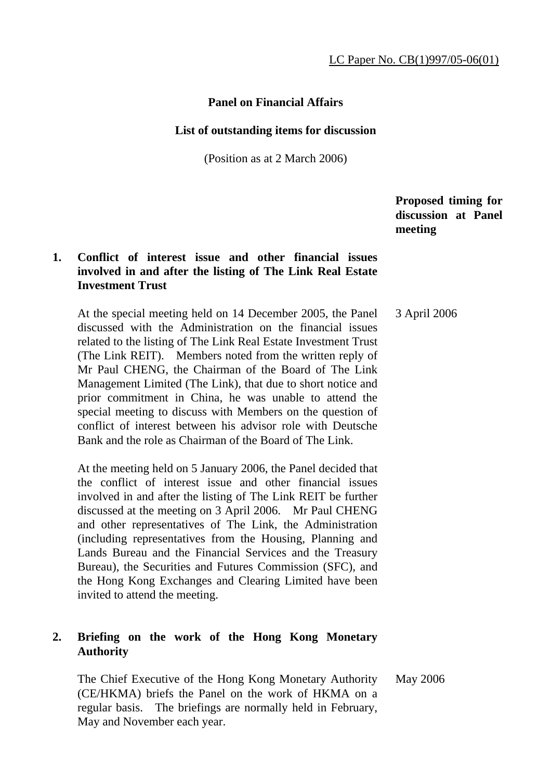# **Panel on Financial Affairs**

#### **List of outstanding items for discussion**

(Position as at 2 March 2006)

 **Proposed timing for discussion at Panel meeting** 

# **1. Conflict of interest issue and other financial issues involved in and after the listing of The Link Real Estate Investment Trust**

 At the special meeting held on 14 December 2005, the Panel discussed with the Administration on the financial issues related to the listing of The Link Real Estate Investment Trust (The Link REIT). Members noted from the written reply of Mr Paul CHENG, the Chairman of the Board of The Link Management Limited (The Link), that due to short notice and prior commitment in China, he was unable to attend the special meeting to discuss with Members on the question of conflict of interest between his advisor role with Deutsche Bank and the role as Chairman of the Board of The Link. 3 April 2006

 At the meeting held on 5 January 2006, the Panel decided that the conflict of interest issue and other financial issues involved in and after the listing of The Link REIT be further discussed at the meeting on 3 April 2006. Mr Paul CHENG and other representatives of The Link, the Administration (including representatives from the Housing, Planning and Lands Bureau and the Financial Services and the Treasury Bureau), the Securities and Futures Commission (SFC), and the Hong Kong Exchanges and Clearing Limited have been invited to attend the meeting.

# **2. Briefing on the work of the Hong Kong Monetary Authority**

 The Chief Executive of the Hong Kong Monetary Authority (CE/HKMA) briefs the Panel on the work of HKMA on a regular basis. The briefings are normally held in February, May and November each year. May 2006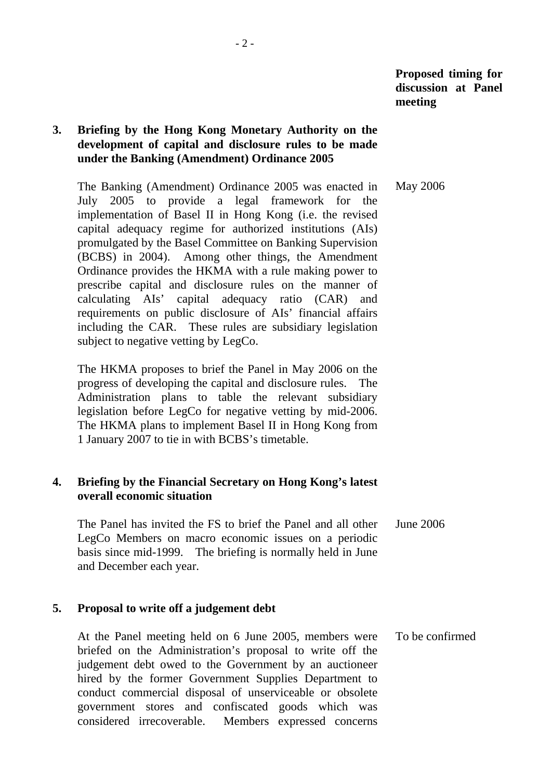# **3. Briefing by the Hong Kong Monetary Authority on the development of capital and disclosure rules to be made under the Banking (Amendment) Ordinance 2005**

 The Banking (Amendment) Ordinance 2005 was enacted in July 2005 to provide a legal framework for the implementation of Basel II in Hong Kong (i.e. the revised capital adequacy regime for authorized institutions (AIs) promulgated by the Basel Committee on Banking Supervision (BCBS) in 2004). Among other things, the Amendment Ordinance provides the HKMA with a rule making power to prescribe capital and disclosure rules on the manner of calculating AIs' capital adequacy ratio (CAR) and requirements on public disclosure of AIs' financial affairs including the CAR. These rules are subsidiary legislation subject to negative vetting by LegCo. May 2006

 The HKMA proposes to brief the Panel in May 2006 on the progress of developing the capital and disclosure rules. The Administration plans to table the relevant subsidiary legislation before LegCo for negative vetting by mid-2006. The HKMA plans to implement Basel II in Hong Kong from 1 January 2007 to tie in with BCBS's timetable.

## **4. Briefing by the Financial Secretary on Hong Kong's latest overall economic situation**

 The Panel has invited the FS to brief the Panel and all other LegCo Members on macro economic issues on a periodic basis since mid-1999. The briefing is normally held in June and December each year. June 2006

#### **5. Proposal to write off a judgement debt**

 At the Panel meeting held on 6 June 2005, members were briefed on the Administration's proposal to write off the judgement debt owed to the Government by an auctioneer hired by the former Government Supplies Department to conduct commercial disposal of unserviceable or obsolete government stores and confiscated goods which was considered irrecoverable. Members expressed concerns To be confirmed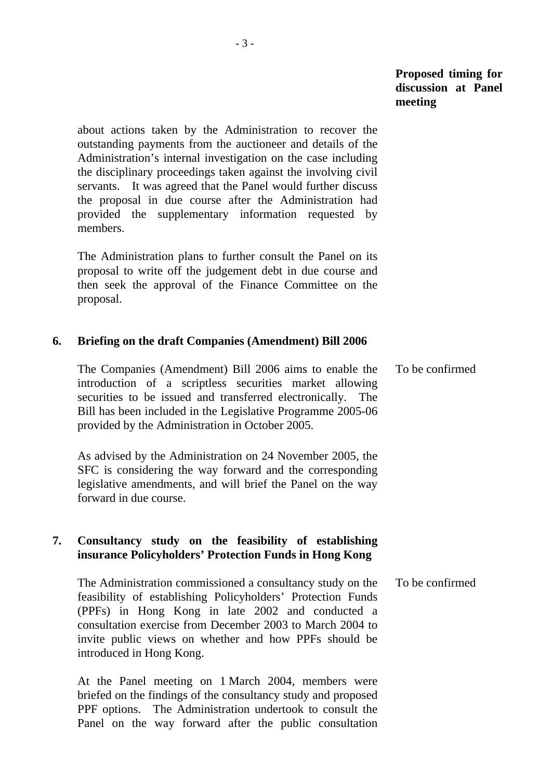about actions taken by the Administration to recover the outstanding payments from the auctioneer and details of the Administration's internal investigation on the case including the disciplinary proceedings taken against the involving civil servants. It was agreed that the Panel would further discuss the proposal in due course after the Administration had provided the supplementary information requested by members.

 The Administration plans to further consult the Panel on its proposal to write off the judgement debt in due course and then seek the approval of the Finance Committee on the proposal.

#### **6. Briefing on the draft Companies (Amendment) Bill 2006**

 The Companies (Amendment) Bill 2006 aims to enable the introduction of a scriptless securities market allowing securities to be issued and transferred electronically. The Bill has been included in the Legislative Programme 2005-06 provided by the Administration in October 2005. To be confirmed

 As advised by the Administration on 24 November 2005, the SFC is considering the way forward and the corresponding legislative amendments, and will brief the Panel on the way forward in due course.

#### **7. Consultancy study on the feasibility of establishing insurance Policyholders' Protection Funds in Hong Kong**

 The Administration commissioned a consultancy study on the feasibility of establishing Policyholders' Protection Funds (PPFs) in Hong Kong in late 2002 and conducted a consultation exercise from December 2003 to March 2004 to invite public views on whether and how PPFs should be introduced in Hong Kong. To be confirmed

 At the Panel meeting on 1 March 2004, members were briefed on the findings of the consultancy study and proposed PPF options. The Administration undertook to consult the Panel on the way forward after the public consultation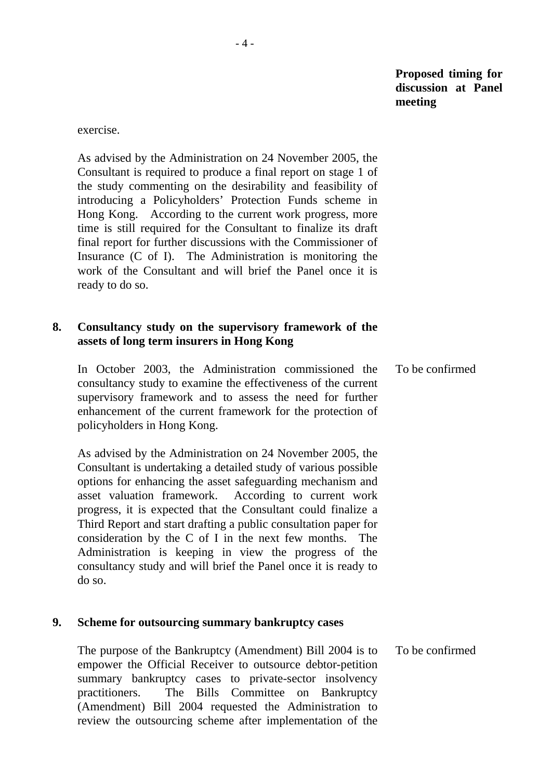exercise.

 As advised by the Administration on 24 November 2005, the Consultant is required to produce a final report on stage 1 of the study commenting on the desirability and feasibility of introducing a Policyholders' Protection Funds scheme in Hong Kong. According to the current work progress, more time is still required for the Consultant to finalize its draft final report for further discussions with the Commissioner of Insurance (C of I). The Administration is monitoring the work of the Consultant and will brief the Panel once it is ready to do so.

## **8. Consultancy study on the supervisory framework of the assets of long term insurers in Hong Kong**

 In October 2003, the Administration commissioned the consultancy study to examine the effectiveness of the current supervisory framework and to assess the need for further enhancement of the current framework for the protection of policyholders in Hong Kong. To be confirmed

 As advised by the Administration on 24 November 2005, the Consultant is undertaking a detailed study of various possible options for enhancing the asset safeguarding mechanism and asset valuation framework. According to current work progress, it is expected that the Consultant could finalize a Third Report and start drafting a public consultation paper for consideration by the C of I in the next few months. The Administration is keeping in view the progress of the consultancy study and will brief the Panel once it is ready to do so.

#### **9. Scheme for outsourcing summary bankruptcy cases**

 The purpose of the Bankruptcy (Amendment) Bill 2004 is to empower the Official Receiver to outsource debtor-petition summary bankruptcy cases to private-sector insolvency practitioners. The Bills Committee on Bankruptcy (Amendment) Bill 2004 requested the Administration to review the outsourcing scheme after implementation of the To be confirmed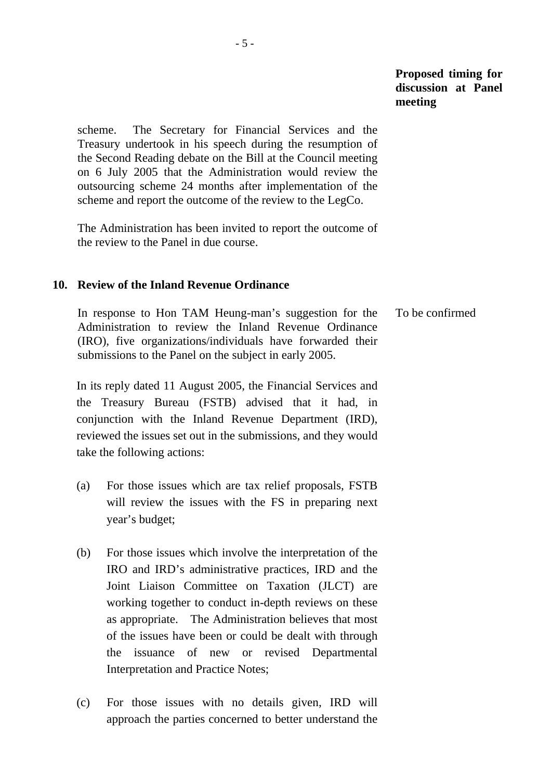scheme. The Secretary for Financial Services and the Treasury undertook in his speech during the resumption of the Second Reading debate on the Bill at the Council meeting on 6 July 2005 that the Administration would review the outsourcing scheme 24 months after implementation of the scheme and report the outcome of the review to the LegCo.

 The Administration has been invited to report the outcome of the review to the Panel in due course.

#### **10. Review of the Inland Revenue Ordinance**

 In response to Hon TAM Heung-man's suggestion for the Administration to review the Inland Revenue Ordinance (IRO), five organizations/individuals have forwarded their submissions to the Panel on the subject in early 2005. To be confirmed

 In its reply dated 11 August 2005, the Financial Services and the Treasury Bureau (FSTB) advised that it had, in conjunction with the Inland Revenue Department (IRD), reviewed the issues set out in the submissions, and they would take the following actions:

- (a) For those issues which are tax relief proposals, FSTB will review the issues with the FS in preparing next year's budget;
- (b) For those issues which involve the interpretation of the IRO and IRD's administrative practices, IRD and the Joint Liaison Committee on Taxation (JLCT) are working together to conduct in-depth reviews on these as appropriate. The Administration believes that most of the issues have been or could be dealt with through the issuance of new or revised Departmental Interpretation and Practice Notes;
- (c) For those issues with no details given, IRD will approach the parties concerned to better understand the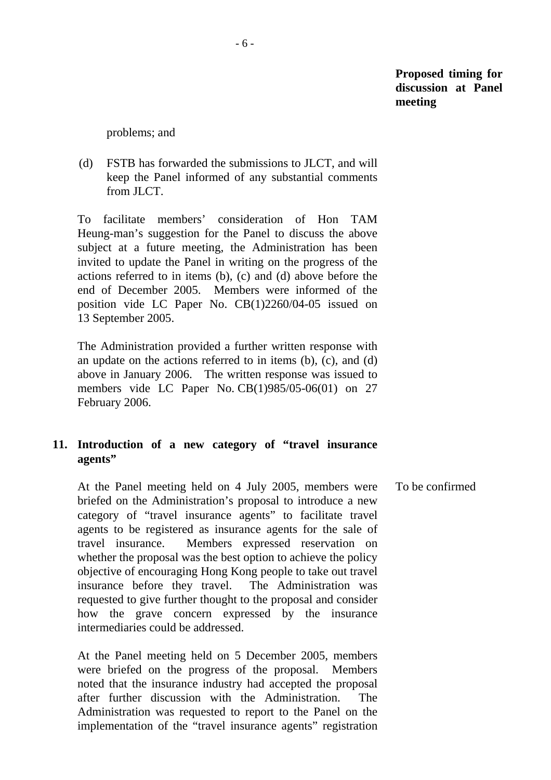problems; and

 (d) FSTB has forwarded the submissions to JLCT, and will keep the Panel informed of any substantial comments from **ILCT**.

 To facilitate members' consideration of Hon TAM Heung-man's suggestion for the Panel to discuss the above subject at a future meeting, the Administration has been invited to update the Panel in writing on the progress of the actions referred to in items (b), (c) and (d) above before the end of December 2005. Members were informed of the position vide LC Paper No. CB(1)2260/04-05 issued on 13 September 2005.

 The Administration provided a further written response with an update on the actions referred to in items (b), (c), and (d) above in January 2006. The written response was issued to members vide LC Paper No. CB(1)985/05-06(01) on 27 February 2006.

### **11. Introduction of a new category of "travel insurance agents"**

 At the Panel meeting held on 4 July 2005, members were briefed on the Administration's proposal to introduce a new category of "travel insurance agents" to facilitate travel agents to be registered as insurance agents for the sale of travel insurance. Members expressed reservation on whether the proposal was the best option to achieve the policy objective of encouraging Hong Kong people to take out travel insurance before they travel. The Administration was requested to give further thought to the proposal and consider how the grave concern expressed by the insurance intermediaries could be addressed. To be confirmed

 At the Panel meeting held on 5 December 2005, members were briefed on the progress of the proposal. Members noted that the insurance industry had accepted the proposal after further discussion with the Administration. The Administration was requested to report to the Panel on the implementation of the "travel insurance agents" registration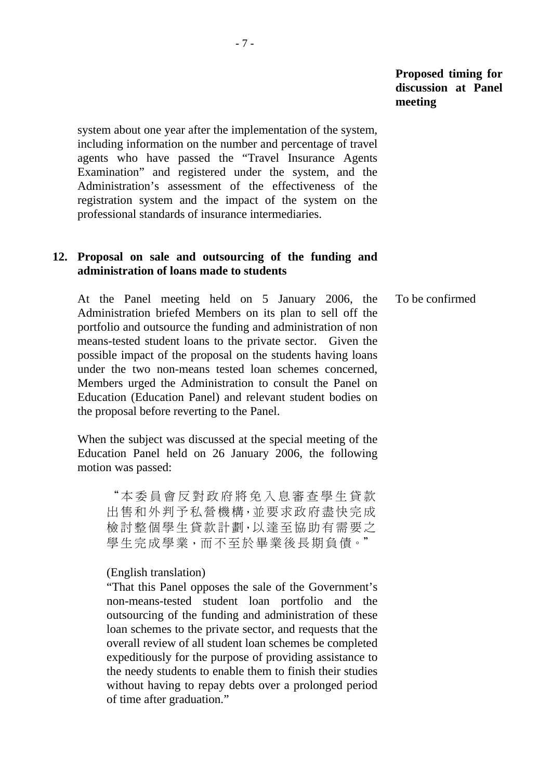system about one year after the implementation of the system, including information on the number and percentage of travel agents who have passed the "Travel Insurance Agents Examination" and registered under the system, and the Administration's assessment of the effectiveness of the registration system and the impact of the system on the professional standards of insurance intermediaries.

## **12. Proposal on sale and outsourcing of the funding and administration of loans made to students**

 At the Panel meeting held on 5 January 2006, the Administration briefed Members on its plan to sell off the portfolio and outsource the funding and administration of non means-tested student loans to the private sector. Given the possible impact of the proposal on the students having loans under the two non-means tested loan schemes concerned, Members urged the Administration to consult the Panel on Education (Education Panel) and relevant student bodies on the proposal before reverting to the Panel. To be confirmed

 When the subject was discussed at the special meeting of the Education Panel held on 26 January 2006, the following motion was passed:

"本委員會反對政府將免入息審查學生貸款 出售和外判予私營機構,並要求政府盡快完成 檢討整個學生貸款計劃,以達至協助有需要之 學生完成學業,而不至於畢業後長期負債。"

#### (English translation)

"That this Panel opposes the sale of the Government's non-means-tested student loan portfolio and the outsourcing of the funding and administration of these loan schemes to the private sector, and requests that the overall review of all student loan schemes be completed expeditiously for the purpose of providing assistance to the needy students to enable them to finish their studies without having to repay debts over a prolonged period of time after graduation."